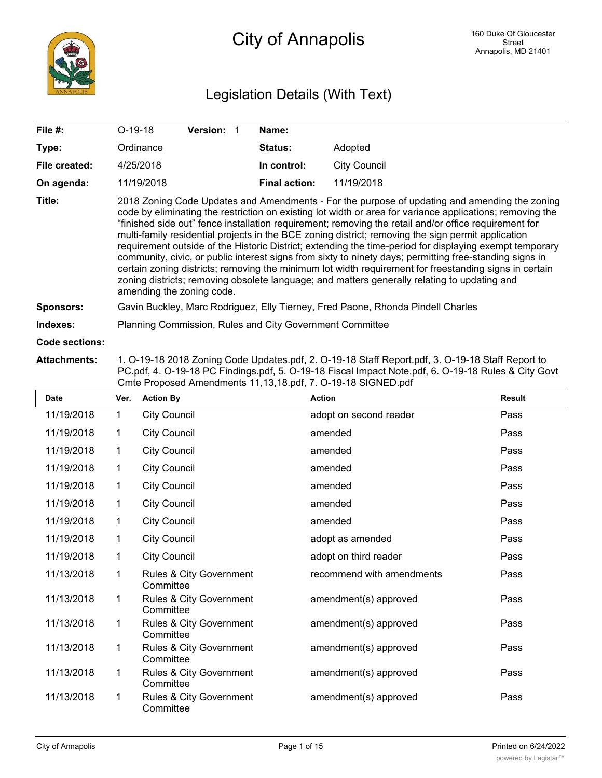# Legislation Details (With Text)

| File $#$ :       | $O-19-18$                                                                                                                                                                                                                                                                                                                                                                                                                                                                                                                                                                                                                                                                                                                                                                                                                                                                              | <b>Version:</b> | Name:                |                     |  |  |  |  |
|------------------|----------------------------------------------------------------------------------------------------------------------------------------------------------------------------------------------------------------------------------------------------------------------------------------------------------------------------------------------------------------------------------------------------------------------------------------------------------------------------------------------------------------------------------------------------------------------------------------------------------------------------------------------------------------------------------------------------------------------------------------------------------------------------------------------------------------------------------------------------------------------------------------|-----------------|----------------------|---------------------|--|--|--|--|
| Type:            | Ordinance                                                                                                                                                                                                                                                                                                                                                                                                                                                                                                                                                                                                                                                                                                                                                                                                                                                                              |                 | <b>Status:</b>       | Adopted             |  |  |  |  |
| File created:    | 4/25/2018                                                                                                                                                                                                                                                                                                                                                                                                                                                                                                                                                                                                                                                                                                                                                                                                                                                                              |                 | In control:          | <b>City Council</b> |  |  |  |  |
| On agenda:       | 11/19/2018                                                                                                                                                                                                                                                                                                                                                                                                                                                                                                                                                                                                                                                                                                                                                                                                                                                                             |                 | <b>Final action:</b> | 11/19/2018          |  |  |  |  |
| Title:           | 2018 Zoning Code Updates and Amendments - For the purpose of updating and amending the zoning<br>code by eliminating the restriction on existing lot width or area for variance applications; removing the<br>"finished side out" fence installation requirement; removing the retail and/or office requirement for<br>multi-family residential projects in the BCE zoning district; removing the sign permit application<br>requirement outside of the Historic District; extending the time-period for displaying exempt temporary<br>community, civic, or public interest signs from sixty to ninety days; permitting free-standing signs in<br>certain zoning districts; removing the minimum lot width requirement for freestanding signs in certain<br>zoning districts; removing obsolete language; and matters generally relating to updating and<br>amending the zoning code. |                 |                      |                     |  |  |  |  |
| <b>Sponsors:</b> | Gavin Buckley, Marc Rodriguez, Elly Tierney, Fred Paone, Rhonda Pindell Charles                                                                                                                                                                                                                                                                                                                                                                                                                                                                                                                                                                                                                                                                                                                                                                                                        |                 |                      |                     |  |  |  |  |
| Indexes:         | Planning Commission, Rules and City Government Committee                                                                                                                                                                                                                                                                                                                                                                                                                                                                                                                                                                                                                                                                                                                                                                                                                               |                 |                      |                     |  |  |  |  |
| Code sections:   |                                                                                                                                                                                                                                                                                                                                                                                                                                                                                                                                                                                                                                                                                                                                                                                                                                                                                        |                 |                      |                     |  |  |  |  |

#### **Attachments:** 1. O-19-18 2018 Zoning Code Updates.pdf, 2. O-19-18 Staff Report.pdf, 3. O-19-18 Staff Report to PC.pdf, 4. O-19-18 PC Findings.pdf, 5. O-19-18 Fiscal Impact Note.pdf, 6. O-19-18 Rules & City Govt Cmte Proposed Amendments 11,13,18.pdf, 7. O-19-18 SIGNED.pdf

| Date       | Ver.         | <b>Action By</b>                     | <b>Action</b>             | <b>Result</b> |
|------------|--------------|--------------------------------------|---------------------------|---------------|
| 11/19/2018 | $\mathbf{1}$ | <b>City Council</b>                  | adopt on second reader    | Pass          |
| 11/19/2018 | $\mathbf{1}$ | <b>City Council</b>                  | amended                   | Pass          |
| 11/19/2018 | $\mathbf{1}$ | <b>City Council</b>                  | amended                   | Pass          |
| 11/19/2018 | $\mathbf{1}$ | <b>City Council</b>                  | amended                   | Pass          |
| 11/19/2018 | $\mathbf{1}$ | <b>City Council</b>                  | amended                   | Pass          |
| 11/19/2018 | 1            | <b>City Council</b>                  | amended                   | Pass          |
| 11/19/2018 | $\mathbf 1$  | <b>City Council</b>                  | amended                   | Pass          |
| 11/19/2018 | $\mathbf 1$  | <b>City Council</b>                  | adopt as amended          | Pass          |
| 11/19/2018 | $\mathbf 1$  | <b>City Council</b>                  | adopt on third reader     | Pass          |
| 11/13/2018 | $\mathbf{1}$ | Rules & City Government<br>Committee | recommend with amendments | Pass          |
| 11/13/2018 | 1            | Rules & City Government<br>Committee | amendment(s) approved     | Pass          |
| 11/13/2018 | $\mathbf{1}$ | Rules & City Government<br>Committee | amendment(s) approved     | Pass          |
| 11/13/2018 | 1            | Rules & City Government<br>Committee | amendment(s) approved     | Pass          |
| 11/13/2018 | 1            | Rules & City Government<br>Committee | amendment(s) approved     | Pass          |
| 11/13/2018 | 1            | Rules & City Government<br>Committee | amendment(s) approved     | Pass          |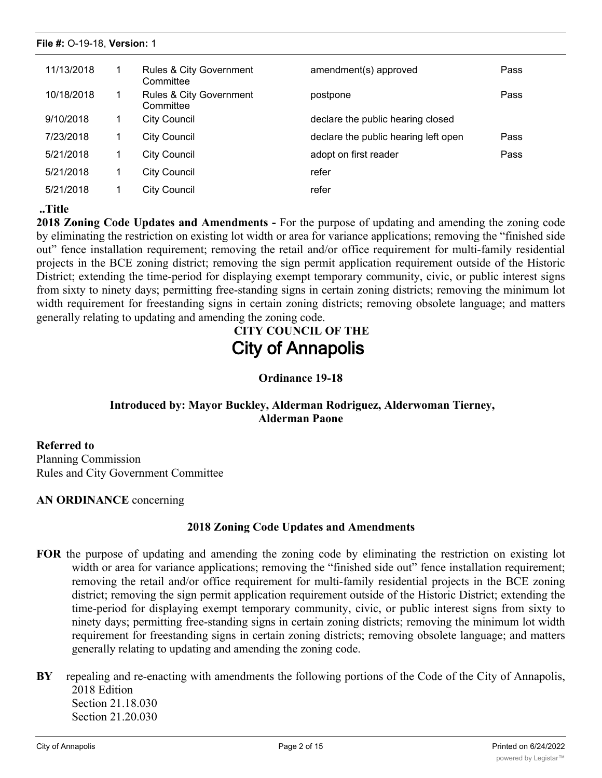| 11/13/2018 | <b>Rules &amp; City Government</b><br>Committee | amendment(s) approved                | Pass |
|------------|-------------------------------------------------|--------------------------------------|------|
| 10/18/2018 | Rules & City Government<br>Committee            | postpone                             | Pass |
| 9/10/2018  | <b>City Council</b>                             | declare the public hearing closed    |      |
| 7/23/2018  | City Council                                    | declare the public hearing left open | Pass |
| 5/21/2018  | City Council                                    | adopt on first reader                | Pass |
| 5/21/2018  | City Council                                    | refer                                |      |
| 5/21/2018  | City Council                                    | refer                                |      |

# **..Title**

**2018 Zoning Code Updates and Amendments -** For the purpose of updating and amending the zoning code by eliminating the restriction on existing lot width or area for variance applications; removing the "finished side out" fence installation requirement; removing the retail and/or office requirement for multi-family residential projects in the BCE zoning district; removing the sign permit application requirement outside of the Historic District; extending the time-period for displaying exempt temporary community, civic, or public interest signs from sixty to ninety days; permitting free-standing signs in certain zoning districts; removing the minimum lot width requirement for freestanding signs in certain zoning districts; removing obsolete language; and matters generally relating to updating and amending the zoning code.

# **CITY COUNCIL OF THE City of Annapolis**

**Ordinance 19-18**

# **Introduced by: Mayor Buckley, Alderman Rodriguez, Alderwoman Tierney, Alderman Paone**

**Referred to** Planning Commission Rules and City Government Committee

**AN ORDINANCE** concerning

# **2018 Zoning Code Updates and Amendments**

- **FOR** the purpose of updating and amending the zoning code by eliminating the restriction on existing lot width or area for variance applications; removing the "finished side out" fence installation requirement; removing the retail and/or office requirement for multi-family residential projects in the BCE zoning district; removing the sign permit application requirement outside of the Historic District; extending the time-period for displaying exempt temporary community, civic, or public interest signs from sixty to ninety days; permitting free-standing signs in certain zoning districts; removing the minimum lot width requirement for freestanding signs in certain zoning districts; removing obsolete language; and matters generally relating to updating and amending the zoning code.
- **BY** repealing and re-enacting with amendments the following portions of the Code of the City of Annapolis, 2018 Edition Section 21.18.030 Section 21.20.030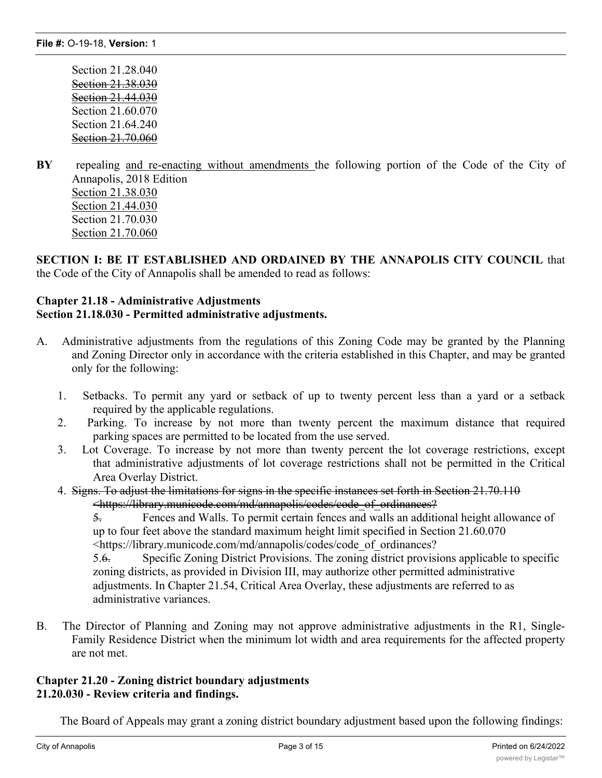Section 21.28.040 Section 21.38.030 Section 21.44.030 Section 21.60.070 Section 21.64.240 Section 21.70.060

**BY** repealing and re-enacting without amendments the following portion of the Code of the City of Annapolis, 2018 Edition Section 21.38.030 Section 21.44.030 Section 21.70.030 Section 21.70.060

**SECTION I: BE IT ESTABLISHED AND ORDAINED BY THE ANNAPOLIS CITY COUNCIL** that the Code of the City of Annapolis shall be amended to read as follows:

# **Chapter 21.18 - Administrative Adjustments Section 21.18.030 - Permitted administrative adjustments.**

- A. Administrative adjustments from the regulations of this Zoning Code may be granted by the Planning and Zoning Director only in accordance with the criteria established in this Chapter, and may be granted only for the following:
	- 1. Setbacks. To permit any yard or setback of up to twenty percent less than a yard or a setback required by the applicable regulations.
	- 2. Parking. To increase by not more than twenty percent the maximum distance that required parking spaces are permitted to be located from the use served.
	- 3. Lot Coverage. To increase by not more than twenty percent the lot coverage restrictions, except that administrative adjustments of lot coverage restrictions shall not be permitted in the Critical Area Overlay District.
	- 4. Signs. To adjust the limitations for signs in the specific instances set forth in Section 21.70.110 <https://library.municode.com/md/annapolis/codes/code\_of\_ordinances?

5. Fences and Walls. To permit certain fences and walls an additional height allowance of up to four feet above the standard maximum height limit specified in Section 21.60.070 <https://library.municode.com/md/annapolis/codes/code\_of\_ordinances?

5.6. Specific Zoning District Provisions. The zoning district provisions applicable to specific zoning districts, as provided in Division III, may authorize other permitted administrative adjustments. In Chapter 21.54, Critical Area Overlay, these adjustments are referred to as administrative variances.

B. The Director of Planning and Zoning may not approve administrative adjustments in the R1, Single-Family Residence District when the minimum lot width and area requirements for the affected property are not met.

### **Chapter 21.20 - Zoning district boundary adjustments 21.20.030 - Review criteria and findings.**

The Board of Appeals may grant a zoning district boundary adjustment based upon the following findings: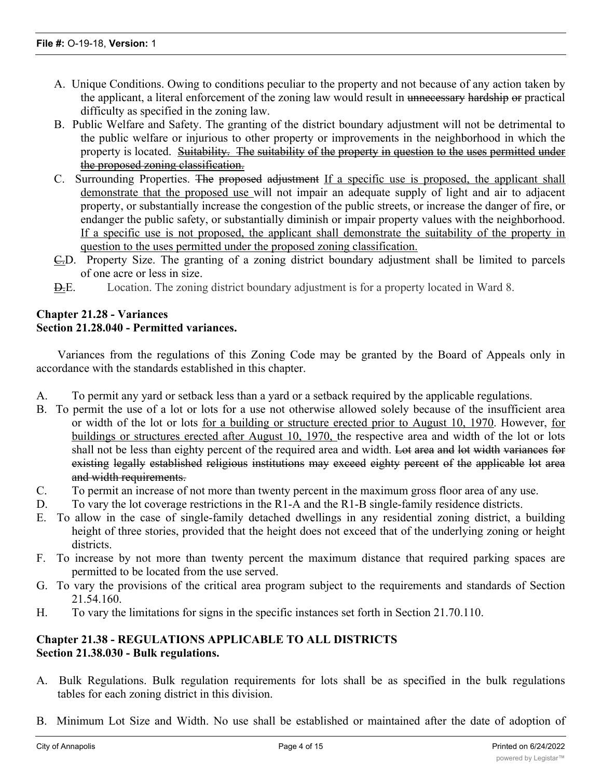- A. Unique Conditions. Owing to conditions peculiar to the property and not because of any action taken by the applicant, a literal enforcement of the zoning law would result in unnecessary hardship or practical difficulty as specified in the zoning law.
- B. Public Welfare and Safety. The granting of the district boundary adjustment will not be detrimental to the public welfare or injurious to other property or improvements in the neighborhood in which the property is located. Suitability. The suitability of the property in question to the uses permitted under the proposed zoning classification.
- C. Surrounding Properties. The proposed adjustment If a specific use is proposed, the applicant shall demonstrate that the proposed use will not impair an adequate supply of light and air to adjacent property, or substantially increase the congestion of the public streets, or increase the danger of fire, or endanger the public safety, or substantially diminish or impair property values with the neighborhood. If a specific use is not proposed, the applicant shall demonstrate the suitability of the property in question to the uses permitted under the proposed zoning classification.
- C.D. Property Size. The granting of a zoning district boundary adjustment shall be limited to parcels of one acre or less in size.
- D.E. Location. The zoning district boundary adjustment is for a property located in Ward 8.

### **Chapter 21.28 - Variances Section 21.28.040 - Permitted variances.**

Variances from the regulations of this Zoning Code may be granted by the Board of Appeals only in accordance with the standards established in this chapter.

- A. To permit any yard or setback less than a yard or a setback required by the applicable regulations.
- B. To permit the use of a lot or lots for a use not otherwise allowed solely because of the insufficient area or width of the lot or lots for a building or structure erected prior to August 10, 1970. However, for buildings or structures erected after August 10, 1970, the respective area and width of the lot or lots shall not be less than eighty percent of the required area and width. Lot area and lot width variances for existing legally established religious institutions may exceed eighty percent of the applicable lot area and width requirements.
- C. To permit an increase of not more than twenty percent in the maximum gross floor area of any use.
- D. To vary the lot coverage restrictions in the R1-A and the R1-B single-family residence districts.
- E. To allow in the case of single-family detached dwellings in any residential zoning district, a building height of three stories, provided that the height does not exceed that of the underlying zoning or height districts.
- F. To increase by not more than twenty percent the maximum distance that required parking spaces are permitted to be located from the use served.
- G. To vary the provisions of the critical area program subject to the requirements and standards of Section 21.54.160.
- H. To vary the limitations for signs in the specific instances set forth in Section 21.70.110.

# **Chapter 21.38 - REGULATIONS APPLICABLE TO ALL DISTRICTS Section 21.38.030 - Bulk regulations.**

- A. Bulk Regulations. Bulk regulation requirements for lots shall be as specified in the bulk regulations tables for each zoning district in this division.
- B. Minimum Lot Size and Width. No use shall be established or maintained after the date of adoption of

this  $Z$  on a lot recorded after the date of adoption of adoption of this  $Z$  or  $\mathcal{L}$  is of less area or  $\mathcal{L}$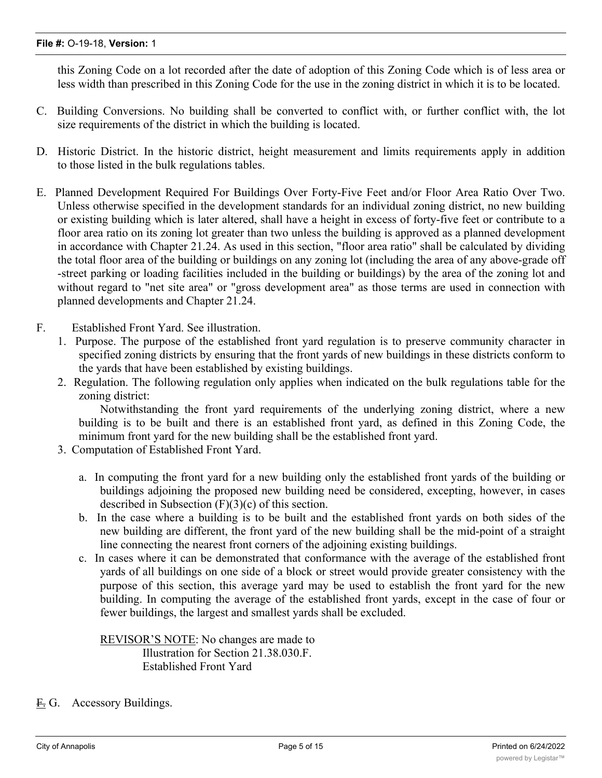this Zoning Code on a lot recorded after the date of adoption of this Zoning Code which is of less area or less width than prescribed in this Zoning Code for the use in the zoning district in which it is to be located.

- C. Building Conversions. No building shall be converted to conflict with, or further conflict with, the lot size requirements of the district in which the building is located.
- D. Historic District. In the historic district, height measurement and limits requirements apply in addition to those listed in the bulk regulations tables.
- E. Planned Development Required For Buildings Over Forty-Five Feet and/or Floor Area Ratio Over Two. Unless otherwise specified in the development standards for an individual zoning district, no new building or existing building which is later altered, shall have a height in excess of forty-five feet or contribute to a floor area ratio on its zoning lot greater than two unless the building is approved as a planned development in accordance with Chapter 21.24. As used in this section, "floor area ratio" shall be calculated by dividing the total floor area of the building or buildings on any zoning lot (including the area of any above-grade off -street parking or loading facilities included in the building or buildings) by the area of the zoning lot and without regard to "net site area" or "gross development area" as those terms are used in connection with planned developments and Chapter 21.24.
- F. Established Front Yard. See illustration.
	- 1. Purpose. The purpose of the established front yard regulation is to preserve community character in specified zoning districts by ensuring that the front yards of new buildings in these districts conform to the yards that have been established by existing buildings.
	- 2. Regulation. The following regulation only applies when indicated on the bulk regulations table for the zoning district:

Notwithstanding the front yard requirements of the underlying zoning district, where a new building is to be built and there is an established front yard, as defined in this Zoning Code, the minimum front yard for the new building shall be the established front yard.

- 3. Computation of Established Front Yard.
	- a. In computing the front yard for a new building only the established front yards of the building or buildings adjoining the proposed new building need be considered, excepting, however, in cases described in Subsection (F)(3)(c) of this section.
	- b. In the case where a building is to be built and the established front yards on both sides of the new building are different, the front yard of the new building shall be the mid-point of a straight line connecting the nearest front corners of the adjoining existing buildings.
	- c. In cases where it can be demonstrated that conformance with the average of the established front yards of all buildings on one side of a block or street would provide greater consistency with the purpose of this section, this average yard may be used to establish the front yard for the new building. In computing the average of the established front yards, except in the case of four or fewer buildings, the largest and smallest yards shall be excluded.

REVISOR'S NOTE: No changes are made to Illustration for Section 21.38.030.F. Established Front Yard

F. G. Accessory Buildings.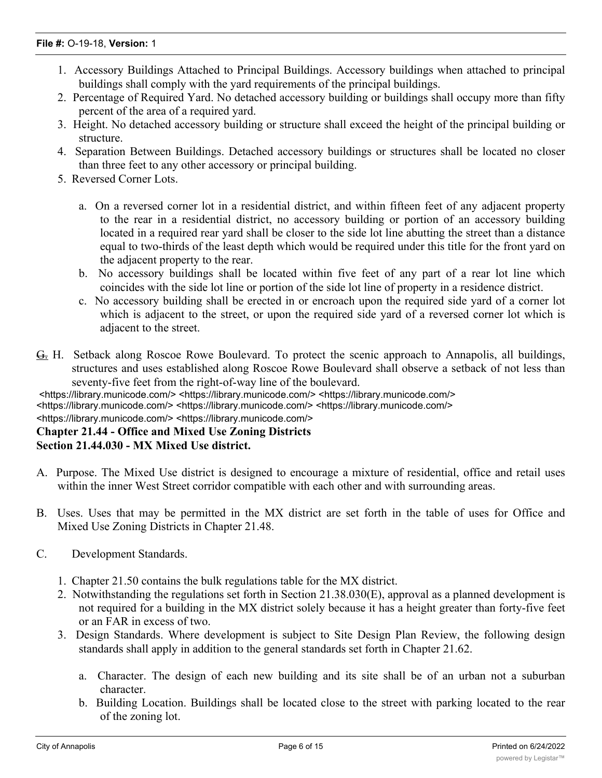### **File #:** O-19-18, **Version:** 1

- 1. Accessory Buildings Attached to Principal Buildings. Accessory buildings when attached to principal buildings shall comply with the yard requirements of the principal buildings.
- 2. Percentage of Required Yard. No detached accessory building or buildings shall occupy more than fifty percent of the area of a required yard.
- 3. Height. No detached accessory building or structure shall exceed the height of the principal building or structure.
- 4. Separation Between Buildings. Detached accessory buildings or structures shall be located no closer than three feet to any other accessory or principal building.
- 5. Reversed Corner Lots.
	- a. On a reversed corner lot in a residential district, and within fifteen feet of any adjacent property to the rear in a residential district, no accessory building or portion of an accessory building located in a required rear yard shall be closer to the side lot line abutting the street than a distance equal to two-thirds of the least depth which would be required under this title for the front yard on the adjacent property to the rear.
	- b. No accessory buildings shall be located within five feet of any part of a rear lot line which coincides with the side lot line or portion of the side lot line of property in a residence district.
	- c. No accessory building shall be erected in or encroach upon the required side yard of a corner lot which is adjacent to the street, or upon the required side yard of a reversed corner lot which is adjacent to the street.
- G. H. Setback along Roscoe Rowe Boulevard. To protect the scenic approach to Annapolis, all buildings, structures and uses established along Roscoe Rowe Boulevard shall observe a setback of not less than seventy-five feet from the right-of-way line of the boulevard.

<https://library.municode.com/> <https://library.municode.com/> <https://library.municode.com/>

<https://library.municode.com/> <https://library.municode.com/> <https://library.municode.com/>

### <https://library.municode.com/> <https://library.municode.com/>

# **Chapter 21.44 - Office and Mixed Use Zoning Districts**

# **Section 21.44.030 - MX Mixed Use district.**

- A. Purpose. The Mixed Use district is designed to encourage a mixture of residential, office and retail uses within the inner West Street corridor compatible with each other and with surrounding areas.
- B. Uses. Uses that may be permitted in the MX district are set forth in the table of uses for Office and Mixed Use Zoning Districts in Chapter 21.48.
- C. Development Standards.
	- 1. Chapter 21.50 contains the bulk regulations table for the MX district.
	- 2. Notwithstanding the regulations set forth in Section 21.38.030(E), approval as a planned development is not required for a building in the MX district solely because it has a height greater than forty-five feet or an FAR in excess of two.
	- 3. Design Standards. Where development is subject to Site Design Plan Review, the following design standards shall apply in addition to the general standards set forth in Chapter 21.62.
		- a. Character. The design of each new building and its site shall be of an urban not a suburban character.
		- b. Building Location. Buildings shall be located close to the street with parking located to the rear of the zoning lot.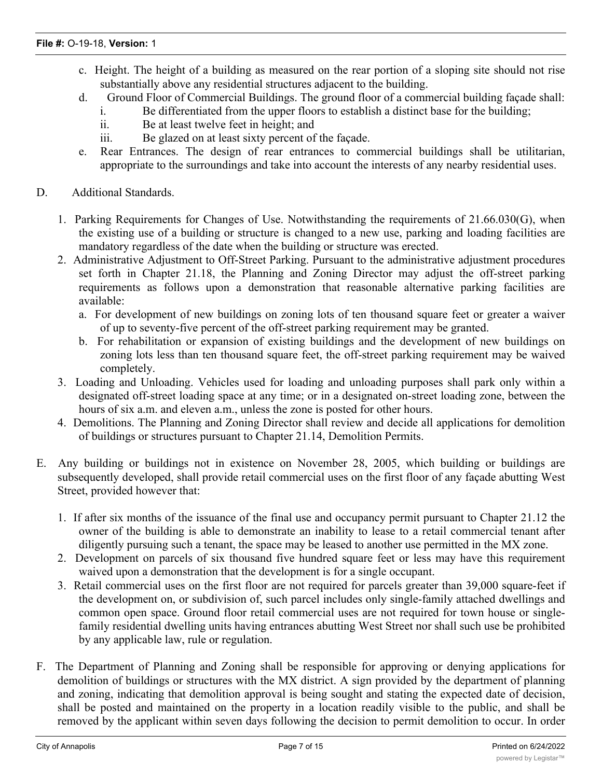- c. Height. The height of a building as measured on the rear portion of a sloping site should not rise substantially above any residential structures adjacent to the building.
- d. Ground Floor of Commercial Buildings. The ground floor of a commercial building façade shall:
	- i. Be differentiated from the upper floors to establish a distinct base for the building;
	- ii. Be at least twelve feet in height; and
	- iii. Be glazed on at least sixty percent of the façade.
- e. Rear Entrances. The design of rear entrances to commercial buildings shall be utilitarian, appropriate to the surroundings and take into account the interests of any nearby residential uses.
- D. Additional Standards.
	- 1. Parking Requirements for Changes of Use. Notwithstanding the requirements of 21.66.030(G), when the existing use of a building or structure is changed to a new use, parking and loading facilities are mandatory regardless of the date when the building or structure was erected.
	- 2. Administrative Adjustment to Off-Street Parking. Pursuant to the administrative adjustment procedures set forth in Chapter 21.18, the Planning and Zoning Director may adjust the off-street parking requirements as follows upon a demonstration that reasonable alternative parking facilities are available:
		- a. For development of new buildings on zoning lots of ten thousand square feet or greater a waiver of up to seventy-five percent of the off-street parking requirement may be granted.
		- b. For rehabilitation or expansion of existing buildings and the development of new buildings on zoning lots less than ten thousand square feet, the off-street parking requirement may be waived completely.
	- 3. Loading and Unloading. Vehicles used for loading and unloading purposes shall park only within a designated off-street loading space at any time; or in a designated on-street loading zone, between the hours of six a.m. and eleven a.m., unless the zone is posted for other hours.
	- 4. Demolitions. The Planning and Zoning Director shall review and decide all applications for demolition of buildings or structures pursuant to Chapter 21.14, Demolition Permits.
- E. Any building or buildings not in existence on November 28, 2005, which building or buildings are subsequently developed, shall provide retail commercial uses on the first floor of any façade abutting West Street, provided however that:
	- 1. If after six months of the issuance of the final use and occupancy permit pursuant to Chapter 21.12 the owner of the building is able to demonstrate an inability to lease to a retail commercial tenant after diligently pursuing such a tenant, the space may be leased to another use permitted in the MX zone.
	- 2. Development on parcels of six thousand five hundred square feet or less may have this requirement waived upon a demonstration that the development is for a single occupant.
	- 3. Retail commercial uses on the first floor are not required for parcels greater than 39,000 square-feet if the development on, or subdivision of, such parcel includes only single-family attached dwellings and common open space. Ground floor retail commercial uses are not required for town house or singlefamily residential dwelling units having entrances abutting West Street nor shall such use be prohibited by any applicable law, rule or regulation.
- F. The Department of Planning and Zoning shall be responsible for approving or denying applications for demolition of buildings or structures with the MX district. A sign provided by the department of planning and zoning, indicating that demolition approval is being sought and stating the expected date of decision, shall be posted and maintained on the property in a location readily visible to the public, and shall be removed by the applicant within seven days following the decision to permit demolition to occur. In order

to approve a demonstration request, the demonstration request, the department of  $\alpha$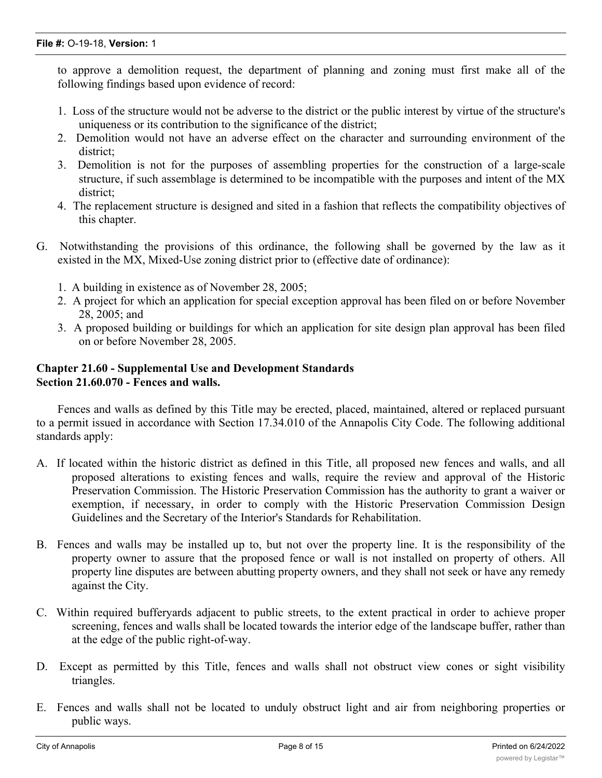to approve a demolition request, the department of planning and zoning must first make all of the following findings based upon evidence of record:

- 1. Loss of the structure would not be adverse to the district or the public interest by virtue of the structure's uniqueness or its contribution to the significance of the district;
- 2. Demolition would not have an adverse effect on the character and surrounding environment of the district;
- 3. Demolition is not for the purposes of assembling properties for the construction of a large-scale structure, if such assemblage is determined to be incompatible with the purposes and intent of the MX district;
- 4. The replacement structure is designed and sited in a fashion that reflects the compatibility objectives of this chapter.
- G. Notwithstanding the provisions of this ordinance, the following shall be governed by the law as it existed in the MX, Mixed-Use zoning district prior to (effective date of ordinance):
	- 1. A building in existence as of November 28, 2005;
	- 2. A project for which an application for special exception approval has been filed on or before November 28, 2005; and
	- 3. A proposed building or buildings for which an application for site design plan approval has been filed on or before November 28, 2005.

### **Chapter 21.60 - Supplemental Use and Development Standards Section 21.60.070 - Fences and walls.**

Fences and walls as defined by this Title may be erected, placed, maintained, altered or replaced pursuant to a permit issued in accordance with Section 17.34.010 of the Annapolis City Code. The following additional standards apply:

- A. If located within the historic district as defined in this Title, all proposed new fences and walls, and all proposed alterations to existing fences and walls, require the review and approval of the Historic Preservation Commission. The Historic Preservation Commission has the authority to grant a waiver or exemption, if necessary, in order to comply with the Historic Preservation Commission Design Guidelines and the Secretary of the Interior's Standards for Rehabilitation.
- B. Fences and walls may be installed up to, but not over the property line. It is the responsibility of the property owner to assure that the proposed fence or wall is not installed on property of others. All property line disputes are between abutting property owners, and they shall not seek or have any remedy against the City.
- C. Within required bufferyards adjacent to public streets, to the extent practical in order to achieve proper screening, fences and walls shall be located towards the interior edge of the landscape buffer, rather than at the edge of the public right-of-way.
- D. Except as permitted by this Title, fences and walls shall not obstruct view cones or sight visibility triangles.
- E. Fences and walls shall not be located to unduly obstruct light and air from neighboring properties or public ways.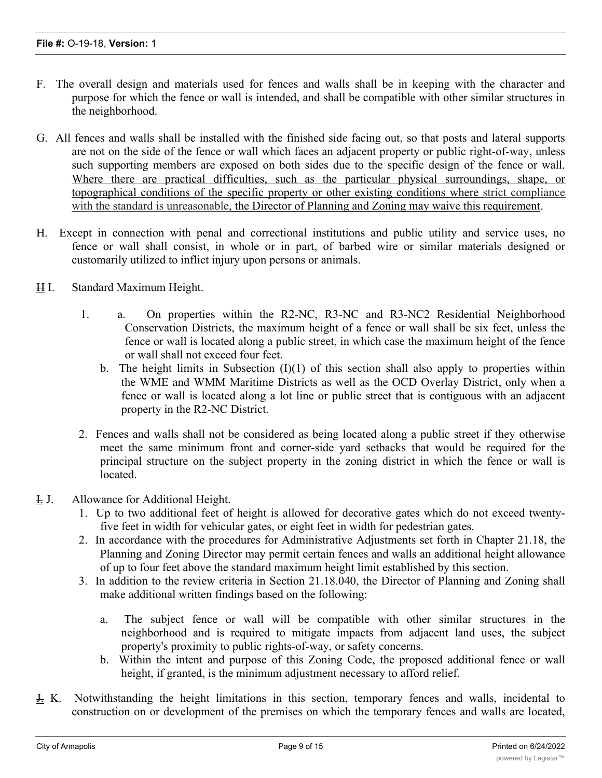- F. The overall design and materials used for fences and walls shall be in keeping with the character and purpose for which the fence or wall is intended, and shall be compatible with other similar structures in the neighborhood.
- G. All fences and walls shall be installed with the finished side facing out, so that posts and lateral supports are not on the side of the fence or wall which faces an adjacent property or public right-of-way, unless such supporting members are exposed on both sides due to the specific design of the fence or wall. Where there are practical difficulties, such as the particular physical surroundings, shape, or topographical conditions of the specific property or other existing conditions where strict compliance with the standard is unreasonable, the Director of Planning and Zoning may waive this requirement.
- H. Except in connection with penal and correctional institutions and public utility and service uses, no fence or wall shall consist, in whole or in part, of barbed wire or similar materials designed or customarily utilized to inflict injury upon persons or animals.

# H I. Standard Maximum Height.

- 1. a. On properties within the R2-NC, R3-NC and R3-NC2 Residential Neighborhood Conservation Districts, the maximum height of a fence or wall shall be six feet, unless the fence or wall is located along a public street, in which case the maximum height of the fence or wall shall not exceed four feet.
	- b. The height limits in Subsection  $(I)(1)$  of this section shall also apply to properties within the WME and WMM Maritime Districts as well as the OCD Overlay District, only when a fence or wall is located along a lot line or public street that is contiguous with an adjacent property in the R2-NC District.
- 2. Fences and walls shall not be considered as being located along a public street if they otherwise meet the same minimum front and corner-side yard setbacks that would be required for the principal structure on the subject property in the zoning district in which the fence or wall is located.
- I. J. Allowance for Additional Height.
	- 1. Up to two additional feet of height is allowed for decorative gates which do not exceed twentyfive feet in width for vehicular gates, or eight feet in width for pedestrian gates.
	- 2. In accordance with the procedures for Administrative Adjustments set forth in Chapter 21.18, the Planning and Zoning Director may permit certain fences and walls an additional height allowance of up to four feet above the standard maximum height limit established by this section.
	- 3. In addition to the review criteria in Section 21.18.040, the Director of Planning and Zoning shall make additional written findings based on the following:
		- a. The subject fence or wall will be compatible with other similar structures in the neighborhood and is required to mitigate impacts from adjacent land uses, the subject property's proximity to public rights-of-way, or safety concerns.
		- b. Within the intent and purpose of this Zoning Code, the proposed additional fence or wall height, if granted, is the minimum adjustment necessary to afford relief.
- $\frac{1}{2}$ . K. Notwithstanding the height limitations in this section, temporary fences and walls, incidental to construction on or development of the premises on which the temporary fences and walls are located,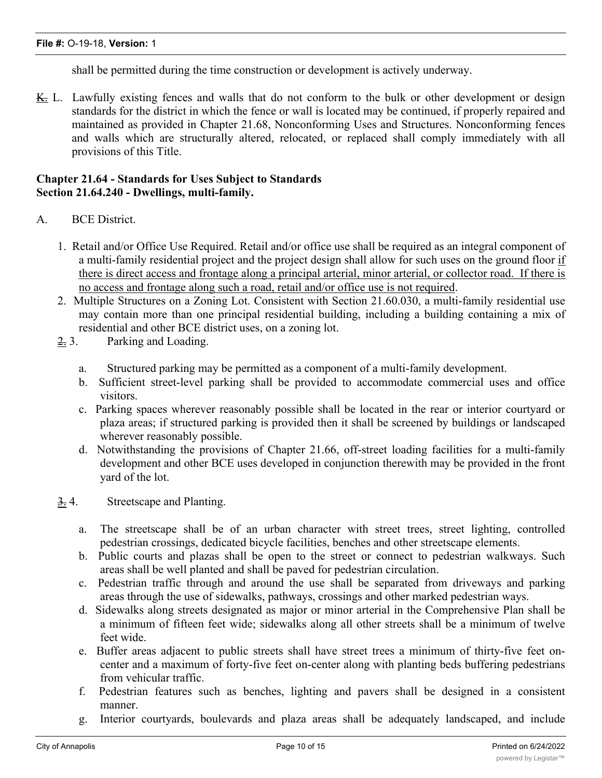shall be permitted during the time construction or development is actively underway.

K. L. Lawfully existing fences and walls that do not conform to the bulk or other development or design standards for the district in which the fence or wall is located may be continued, if properly repaired and maintained as provided in Chapter 21.68, Nonconforming Uses and Structures. Nonconforming fences and walls which are structurally altered, relocated, or replaced shall comply immediately with all provisions of this Title.

### **Chapter 21.64 - Standards for Uses Subject to Standards Section 21.64.240 - Dwellings, multi-family.**

- A. BCE District.
	- 1. Retail and/or Office Use Required. Retail and/or office use shall be required as an integral component of a multi-family residential project and the project design shall allow for such uses on the ground floor if there is direct access and frontage along a principal arterial, minor arterial, or collector road. If there is no access and frontage along such a road, retail and/or office use is not required.
	- 2. Multiple Structures on a Zoning Lot. Consistent with Section 21.60.030, a multi-family residential use may contain more than one principal residential building, including a building containing a mix of residential and other BCE district uses, on a zoning lot.
	- 2. 3. Parking and Loading.
		- a. Structured parking may be permitted as a component of a multi-family development.
		- b. Sufficient street-level parking shall be provided to accommodate commercial uses and office visitors.
		- c. Parking spaces wherever reasonably possible shall be located in the rear or interior courtyard or plaza areas; if structured parking is provided then it shall be screened by buildings or landscaped wherever reasonably possible.
		- d. Notwithstanding the provisions of Chapter 21.66, off-street loading facilities for a multi-family development and other BCE uses developed in conjunction therewith may be provided in the front yard of the lot.
	- 3. 4. Streetscape and Planting.
		- a. The streetscape shall be of an urban character with street trees, street lighting, controlled pedestrian crossings, dedicated bicycle facilities, benches and other streetscape elements.
		- b. Public courts and plazas shall be open to the street or connect to pedestrian walkways. Such areas shall be well planted and shall be paved for pedestrian circulation.
		- c. Pedestrian traffic through and around the use shall be separated from driveways and parking areas through the use of sidewalks, pathways, crossings and other marked pedestrian ways.
		- d. Sidewalks along streets designated as major or minor arterial in the Comprehensive Plan shall be a minimum of fifteen feet wide; sidewalks along all other streets shall be a minimum of twelve feet wide.
		- e. Buffer areas adjacent to public streets shall have street trees a minimum of thirty-five feet oncenter and a maximum of forty-five feet on-center along with planting beds buffering pedestrians from vehicular traffic.
		- f. Pedestrian features such as benches, lighting and pavers shall be designed in a consistent manner.
		- g. Interior courtyards, boulevards and plaza areas shall be adequately landscaped, and include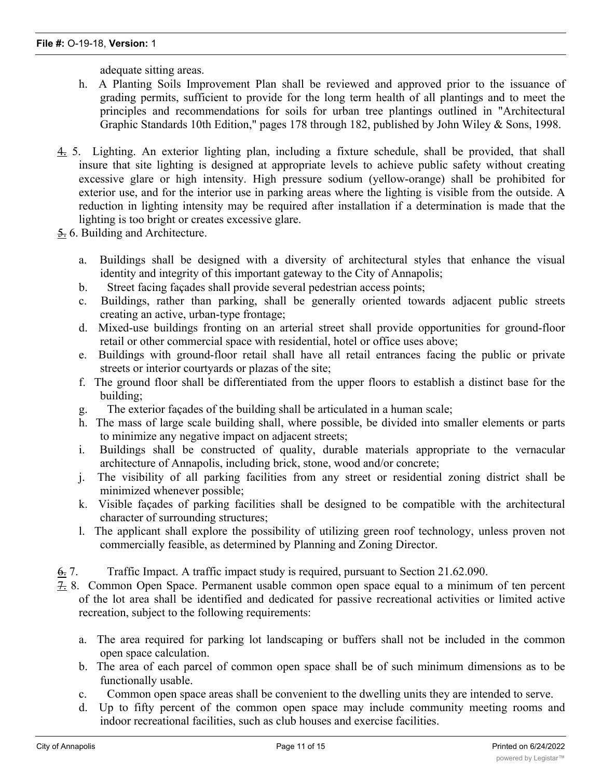adequate sitting areas.

- h. A Planting Soils Improvement Plan shall be reviewed and approved prior to the issuance of grading permits, sufficient to provide for the long term health of all plantings and to meet the principles and recommendations for soils for urban tree plantings outlined in "Architectural Graphic Standards 10th Edition," pages 178 through 182, published by John Wiley & Sons, 1998.
- 4. 5. Lighting. An exterior lighting plan, including a fixture schedule, shall be provided, that shall insure that site lighting is designed at appropriate levels to achieve public safety without creating excessive glare or high intensity. High pressure sodium (yellow-orange) shall be prohibited for exterior use, and for the interior use in parking areas where the lighting is visible from the outside. A reduction in lighting intensity may be required after installation if a determination is made that the lighting is too bright or creates excessive glare.
- 5. 6. Building and Architecture.
	- a. Buildings shall be designed with a diversity of architectural styles that enhance the visual identity and integrity of this important gateway to the City of Annapolis;
	- b. Street facing façades shall provide several pedestrian access points;
	- c. Buildings, rather than parking, shall be generally oriented towards adjacent public streets creating an active, urban-type frontage;
	- d. Mixed-use buildings fronting on an arterial street shall provide opportunities for ground-floor retail or other commercial space with residential, hotel or office uses above;
	- e. Buildings with ground-floor retail shall have all retail entrances facing the public or private streets or interior courtyards or plazas of the site;
	- f. The ground floor shall be differentiated from the upper floors to establish a distinct base for the building;
	- g. The exterior façades of the building shall be articulated in a human scale;
	- h. The mass of large scale building shall, where possible, be divided into smaller elements or parts to minimize any negative impact on adjacent streets;
	- i. Buildings shall be constructed of quality, durable materials appropriate to the vernacular architecture of Annapolis, including brick, stone, wood and/or concrete;
	- j. The visibility of all parking facilities from any street or residential zoning district shall be minimized whenever possible;
	- k. Visible façades of parking facilities shall be designed to be compatible with the architectural character of surrounding structures;
	- l. The applicant shall explore the possibility of utilizing green roof technology, unless proven not commercially feasible, as determined by Planning and Zoning Director.
- 6. 7. Traffic Impact. A traffic impact study is required, pursuant to Section 21.62.090.
- 7. 8. Common Open Space. Permanent usable common open space equal to a minimum of ten percent of the lot area shall be identified and dedicated for passive recreational activities or limited active recreation, subject to the following requirements:
	- a. The area required for parking lot landscaping or buffers shall not be included in the common open space calculation.
	- b. The area of each parcel of common open space shall be of such minimum dimensions as to be functionally usable.
	- c. Common open space areas shall be convenient to the dwelling units they are intended to serve.
	- d. Up to fifty percent of the common open space may include community meeting rooms and indoor recreational facilities, such as club houses and exercise facilities.

e. Any area dedicated for open space purposes shall be described in appropriate subdivision  $\mathcal{L}$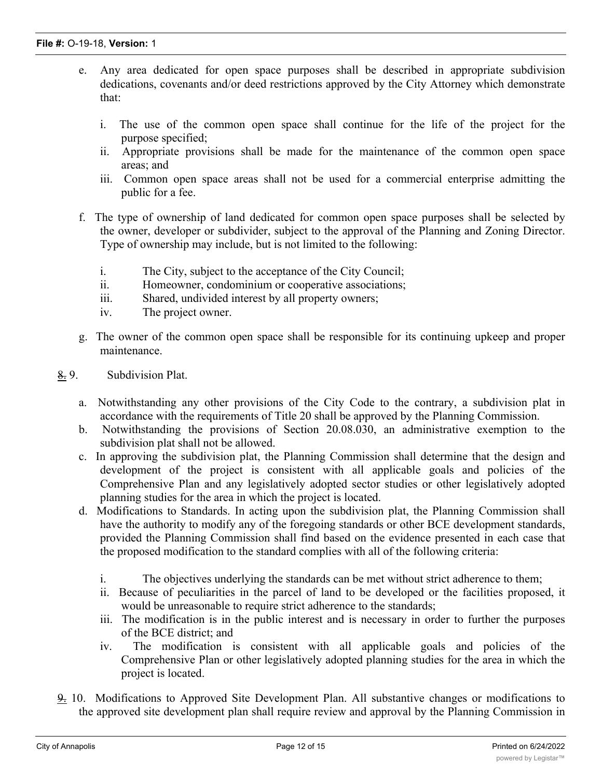- e. Any area dedicated for open space purposes shall be described in appropriate subdivision dedications, covenants and/or deed restrictions approved by the City Attorney which demonstrate that:
	- i. The use of the common open space shall continue for the life of the project for the purpose specified;
	- ii. Appropriate provisions shall be made for the maintenance of the common open space areas; and
	- iii. Common open space areas shall not be used for a commercial enterprise admitting the public for a fee.
- f. The type of ownership of land dedicated for common open space purposes shall be selected by the owner, developer or subdivider, subject to the approval of the Planning and Zoning Director. Type of ownership may include, but is not limited to the following:
	- i. The City, subject to the acceptance of the City Council;
	- ii. Homeowner, condominium or cooperative associations;
	- iii. Shared, undivided interest by all property owners;
	- iv. The project owner.
- g. The owner of the common open space shall be responsible for its continuing upkeep and proper maintenance.
- 8. 9. Subdivision Plat.
	- a. Notwithstanding any other provisions of the City Code to the contrary, a subdivision plat in accordance with the requirements of Title 20 shall be approved by the Planning Commission.
	- b. Notwithstanding the provisions of Section 20.08.030, an administrative exemption to the subdivision plat shall not be allowed.
	- c. In approving the subdivision plat, the Planning Commission shall determine that the design and development of the project is consistent with all applicable goals and policies of the Comprehensive Plan and any legislatively adopted sector studies or other legislatively adopted planning studies for the area in which the project is located.
	- d. Modifications to Standards. In acting upon the subdivision plat, the Planning Commission shall have the authority to modify any of the foregoing standards or other BCE development standards, provided the Planning Commission shall find based on the evidence presented in each case that the proposed modification to the standard complies with all of the following criteria:
		- i. The objectives underlying the standards can be met without strict adherence to them;
		- ii. Because of peculiarities in the parcel of land to be developed or the facilities proposed, it would be unreasonable to require strict adherence to the standards;
		- iii. The modification is in the public interest and is necessary in order to further the purposes of the BCE district; and
		- iv. The modification is consistent with all applicable goals and policies of the Comprehensive Plan or other legislatively adopted planning studies for the area in which the project is located.
- 9. 10. Modifications to Approved Site Development Plan. All substantive changes or modifications to the approved site development plan shall require review and approval by the Planning Commission in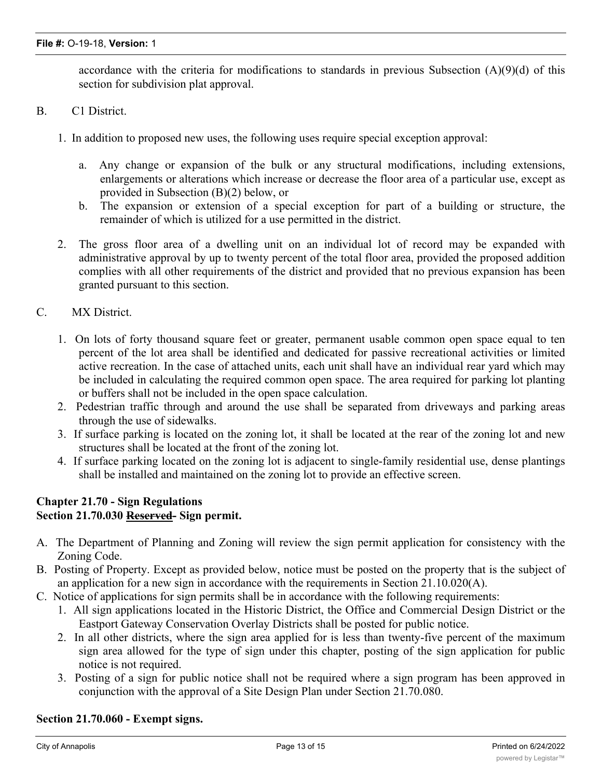accordance with the criteria for modifications to standards in previous Subsection  $(A)(9)(d)$  of this section for subdivision plat approval.

- B. C1 District.
	- 1. In addition to proposed new uses, the following uses require special exception approval:
		- a. Any change or expansion of the bulk or any structural modifications, including extensions, enlargements or alterations which increase or decrease the floor area of a particular use, except as provided in Subsection (B)(2) below, or
		- b. The expansion or extension of a special exception for part of a building or structure, the remainder of which is utilized for a use permitted in the district.
	- 2. The gross floor area of a dwelling unit on an individual lot of record may be expanded with administrative approval by up to twenty percent of the total floor area, provided the proposed addition complies with all other requirements of the district and provided that no previous expansion has been granted pursuant to this section.
- C. MX District.
	- 1. On lots of forty thousand square feet or greater, permanent usable common open space equal to ten percent of the lot area shall be identified and dedicated for passive recreational activities or limited active recreation. In the case of attached units, each unit shall have an individual rear yard which may be included in calculating the required common open space. The area required for parking lot planting or buffers shall not be included in the open space calculation.
	- 2. Pedestrian traffic through and around the use shall be separated from driveways and parking areas through the use of sidewalks.
	- 3. If surface parking is located on the zoning lot, it shall be located at the rear of the zoning lot and new structures shall be located at the front of the zoning lot.
	- 4. If surface parking located on the zoning lot is adjacent to single-family residential use, dense plantings shall be installed and maintained on the zoning lot to provide an effective screen.

## **Chapter 21.70 - Sign Regulations Section 21.70.030 Reserved- Sign permit.**

- A. The Department of Planning and Zoning will review the sign permit application for consistency with the Zoning Code.
- B. Posting of Property. Except as provided below, notice must be posted on the property that is the subject of an application for a new sign in accordance with the requirements in Section 21.10.020(A).
- C. Notice of applications for sign permits shall be in accordance with the following requirements:
	- 1. All sign applications located in the Historic District, the Office and Commercial Design District or the Eastport Gateway Conservation Overlay Districts shall be posted for public notice.
	- 2. In all other districts, where the sign area applied for is less than twenty-five percent of the maximum sign area allowed for the type of sign under this chapter, posting of the sign application for public notice is not required.
	- 3. Posting of a sign for public notice shall not be required where a sign program has been approved in conjunction with the approval of a Site Design Plan under Section 21.70.080.

### **Section 21.70.060 - Exempt signs.**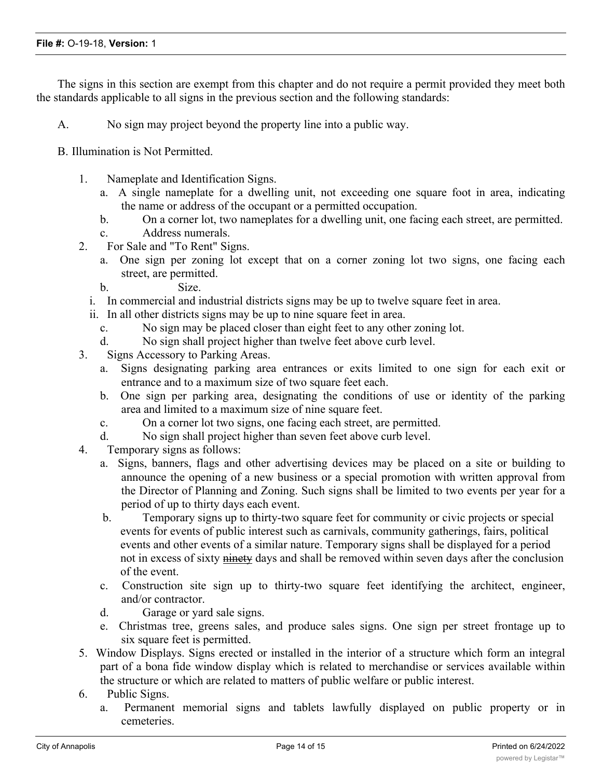The signs in this section are exempt from this chapter and do not require a permit provided they meet both the standards applicable to all signs in the previous section and the following standards:

A. No sign may project beyond the property line into a public way.

B. Illumination is Not Permitted.

- 1. Nameplate and Identification Signs.
	- a. A single nameplate for a dwelling unit, not exceeding one square foot in area, indicating the name or address of the occupant or a permitted occupation.
	- b. On a corner lot, two nameplates for a dwelling unit, one facing each street, are permitted.
	- c. Address numerals.
- 2. For Sale and "To Rent" Signs.
	- a. One sign per zoning lot except that on a corner zoning lot two signs, one facing each street, are permitted.
	- b. Size.
	- i. In commercial and industrial districts signs may be up to twelve square feet in area.
	- ii. In all other districts signs may be up to nine square feet in area.
		- c. No sign may be placed closer than eight feet to any other zoning lot.
		- d. No sign shall project higher than twelve feet above curb level.
- 3. Signs Accessory to Parking Areas.
	- a. Signs designating parking area entrances or exits limited to one sign for each exit or entrance and to a maximum size of two square feet each.
	- b. One sign per parking area, designating the conditions of use or identity of the parking area and limited to a maximum size of nine square feet.
	- c. On a corner lot two signs, one facing each street, are permitted.
	- d. No sign shall project higher than seven feet above curb level.
- 4. Temporary signs as follows:
	- a. Signs, banners, flags and other advertising devices may be placed on a site or building to announce the opening of a new business or a special promotion with written approval from the Director of Planning and Zoning. Such signs shall be limited to two events per year for a period of up to thirty days each event.
	- b. Temporary signs up to thirty-two square feet for community or civic projects or special events for events of public interest such as carnivals, community gatherings, fairs, political events and other events of a similar nature. Temporary signs shall be displayed for a period not in excess of sixty ninety days and shall be removed within seven days after the conclusion of the event.
	- c. Construction site sign up to thirty-two square feet identifying the architect, engineer, and/or contractor.
	- d. Garage or yard sale signs.
	- e. Christmas tree, greens sales, and produce sales signs. One sign per street frontage up to six square feet is permitted.
- 5. Window Displays. Signs erected or installed in the interior of a structure which form an integral part of a bona fide window display which is related to merchandise or services available within the structure or which are related to matters of public welfare or public interest.
- 6. Public Signs.
	- a. Permanent memorial signs and tablets lawfully displayed on public property or in cemeteries.